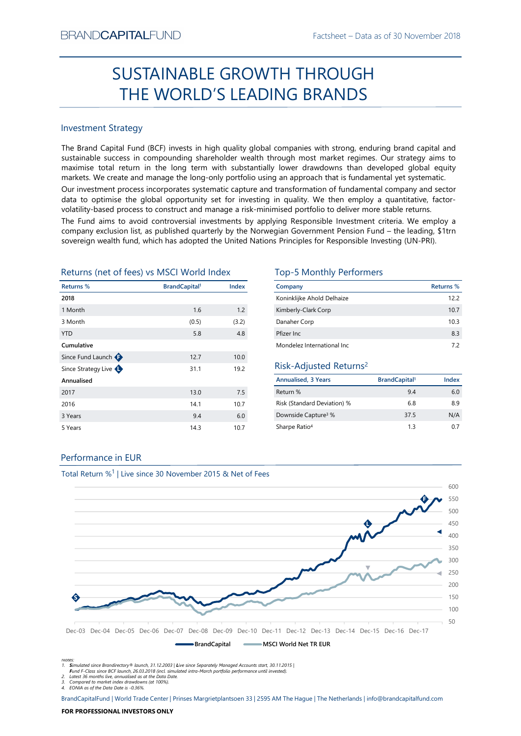# Factsheet – Data as of 30 November 2018<br> **HROUGH** SUSTAINABLE GROWTH THROUGH THE WORLD'S LEADING BRANDS

# Investment Strategy

BRAND**CAPITAL**FUND<br>
Factsheet – Data as of 30 November 2018<br>
THE WORLD'S LEADING BRANDS<br>
THE WORLD'S LEADING BRANDS<br>
Investment Strategy<br>
The Brand Capital Fund (BCF) invests in high quality global companies with strong, e BRAND**CAPITAL**FUND<br>
SUSTAINABLE GROWTH THROUGH<br>
THE WORLD'S LEADING BRANDS<br>
SUSTAINABLE STOWATH THROUGH<br>
THE Band Capital Fund (BCF) invests in high quality global companies with strong, enduring brand capital and<br>
sustain BRAND**CAPITAL**FUND<br>
SUSTAINABLE GROWTH THROUGH<br>
THE WORLD'S LEADING BRANDS<br>
Investment strategy<br>
Inte Brand Capital Fund (BCF) invests in high quality global companies with strong, enduring brand capital and<br>
sustainable s BRAND**CAPITAL**FUND Factsheet – Data as of 30 November 2018<br>
SUSTAINABLE GROWTH THROUGH<br>
THE WORLD'S LEADING BRANDS<br>
Investment Strategy<br>
The Brand Capital Fund (BCF) invests in high quality global companies with strong, en BRANDCAPITALFUND<br>
SUSTAINABLE GROWTH THROUGH<br>
THE WORLD'S LEADING BRANDS<br>
Investment Strategy<br>
Investment Strategy<br>
Investment Strategy<br>
Investment Strategy<br>
Investment Strategy<br>
Investment Strategy<br>
Investment Strategy<br>
I BRANDCAPITALFUND<br>
Factsheet – Data as of 30 November 2018<br>
SUSTAINABLE GROWTH THROUGH<br>
THE WORLD'S LEADING BRANDS<br>
Investment Strategy<br>
Investment Strategy<br>
Investment Strategy<br>
Investment Strategy<br>
Investing (GE) invest i BRANDCAPITALFUND Facisheet – Dala as of 30 November 2018<br>
SUSTAINABLE GROWTH THROUGH<br>
THE WORLD'S LEADING BRANDS<br>
Investment Strategy<br>
The Brand Capital Fund (BCF) invests in high quality global companies with strong, endu BFANDCAPITALFUND<br>
SUSTAINABLE GROWTH THROUGH<br>
THE WORLD'S LEADING BRANDS<br>
Investment strategy<br>
In the stand Capital Fund (CF) invests in high quality global companies with strong, enduring brand capital and<br>
maximale succe **EXANDCAPITALFUND**<br>
Factsheet – Data as of 30 November 2018<br> **SUSTAINABLE GROWTH THROUGH**<br> **THE WORLD'S LEADING BRANDS**<br>
Investment Strategy<br>
The Brand Gapital Fund (8CF) invests in high quality global companies with stron STANDCAPITALFUND<br>
SUSTAINABLE GROWTH THROUGH<br>
THE WORLD'S LEADING BRANDS<br>
Investment Strategy<br>
The Brand Capital Fund (CCF) invests in high quality global companies with strong, enduring brand capital and<br>
sustainable succ  $\begin{tabular}{|c|c|c|c|c|} \hline \multicolumn{1}{|c|}{\textbf{S}} \multicolumn{1}{|c|}{\textbf{S}} \multicolumn{1}{|c|}{\textbf{S}} \multicolumn{1}{|c|}{\textbf{S}} \multicolumn{1}{|c|}{\textbf{S}} \multicolumn{1}{|c|}{\textbf{S}} \multicolumn{1}{|c|}{\textbf{S}} \multicolumn{1}{|c|}{\textbf{S}} \multicolumn{1}{|c|}{\textbf{S}} \multicolumn{1}{|c|}{\textbf{S}} \multicolumn{1}{|c|}{\textbf{S}} \multicolumn{1}{|c|}{\$ SUSTAINABLE GROWTH THROUGH<br>
THE WORLD'S LEADING BRANDS<br>
Investment Strategy<br>
The Brand Capital Fund (BCF) invests in high quality global companies with strong, enduring prand capital and<br>
sustainable success in componing

| <b>Investment Strategy</b>                |                                  |       |                                                                                                                                                                                                                                                                                                                                                                                                                                                   |                                  |            |
|-------------------------------------------|----------------------------------|-------|---------------------------------------------------------------------------------------------------------------------------------------------------------------------------------------------------------------------------------------------------------------------------------------------------------------------------------------------------------------------------------------------------------------------------------------------------|----------------------------------|------------|
|                                           |                                  |       | The Brand Capital Fund (BCF) invests in high quality global companies with strong, enduring brand capital and<br>sustainable success in compounding shareholder wealth through most market regimes. Our strategy aims to<br>maximise total return in the long term with substantially lower drawdowns than developed global equity<br>markets. We create and manage the long-only portfolio using an approach that is fundamental yet systematic. |                                  |            |
|                                           |                                  |       | Our investment process incorporates systematic capture and transformation of fundamental company and sector<br>data to optimise the global opportunity set for investing in quality. We then employ a quantitative, factor-<br>volatility-based process to construct and manage a risk-minimised portfolio to deliver more stable returns.                                                                                                        |                                  |            |
|                                           |                                  |       | The Fund aims to avoid controversial investments by applying Responsible Investment criteria. We employ a<br>company exclusion list, as published quarterly by the Norwegian Government Pension Fund - the leading, \$1trn<br>sovereign wealth fund, which has adopted the United Nations Principles for Responsible Investing (UN-PRI).                                                                                                          |                                  |            |
| Returns (net of fees) vs MSCI World Index |                                  |       | <b>Top-5 Monthly Performers</b>                                                                                                                                                                                                                                                                                                                                                                                                                   |                                  |            |
|                                           |                                  |       |                                                                                                                                                                                                                                                                                                                                                                                                                                                   |                                  |            |
| Returns %                                 | <b>BrandCapital</b> <sup>1</sup> | Index | Company                                                                                                                                                                                                                                                                                                                                                                                                                                           |                                  | Returns %  |
| 2018                                      |                                  |       | Koninklijke Ahold Delhaize                                                                                                                                                                                                                                                                                                                                                                                                                        |                                  | 12.2       |
| 1 Month                                   | 1.6                              | 1.2   | Kimberly-Clark Corp                                                                                                                                                                                                                                                                                                                                                                                                                               |                                  | 10.7       |
| 3 Month                                   | (0.5)                            | (3.2) | Danaher Corp                                                                                                                                                                                                                                                                                                                                                                                                                                      |                                  | 10.3       |
| <b>YTD</b>                                | 5.8                              | 4.8   | Pfizer Inc                                                                                                                                                                                                                                                                                                                                                                                                                                        |                                  | 8.3        |
| Cumulative                                |                                  |       | Mondelez International Inc                                                                                                                                                                                                                                                                                                                                                                                                                        |                                  | 7.2        |
| Since Fund Launch $\bigoplus$             | 12.7                             | 10.0  |                                                                                                                                                                                                                                                                                                                                                                                                                                                   |                                  |            |
| Since Strategy Live                       | 31.1                             | 19.2  | Risk-Adjusted Returns <sup>2</sup>                                                                                                                                                                                                                                                                                                                                                                                                                |                                  |            |
| Annualised                                |                                  |       | <b>Annualised, 3 Years</b>                                                                                                                                                                                                                                                                                                                                                                                                                        | <b>BrandCapital</b> <sup>1</sup> | Index      |
| 2017                                      | 13.0                             | 7.5   | Return %                                                                                                                                                                                                                                                                                                                                                                                                                                          | 9.4                              | 6.0        |
| 2016                                      | 14.1                             | 10.7  | Risk (Standard Deviation) %                                                                                                                                                                                                                                                                                                                                                                                                                       | 6.8                              |            |
| 3 Years                                   | 9.4                              | 6.0   | Downside Capture <sup>3</sup> %                                                                                                                                                                                                                                                                                                                                                                                                                   | 37.5                             | 8.9<br>N/A |
| 5 Years                                   | 14.3                             | 10.7  | Sharpe Ratio <sup>4</sup>                                                                                                                                                                                                                                                                                                                                                                                                                         | 1.3                              |            |
|                                           |                                  |       |                                                                                                                                                                                                                                                                                                                                                                                                                                                   |                                  | 0.7        |

| TH THROUGH                                                                                                                                                                                                                                                                                                                                                                                                                  |                                                    |                  |
|-----------------------------------------------------------------------------------------------------------------------------------------------------------------------------------------------------------------------------------------------------------------------------------------------------------------------------------------------------------------------------------------------------------------------------|----------------------------------------------------|------------------|
| <b>NG BRANDS</b>                                                                                                                                                                                                                                                                                                                                                                                                            |                                                    |                  |
|                                                                                                                                                                                                                                                                                                                                                                                                                             |                                                    |                  |
| companies with strong, enduring brand capital and<br>rough most market regimes. Our strategy aims to<br>Jower drawdowns than developed global equity<br>g an approach that is fundamental yet systematic.<br>transformation of fundamental company and sector<br>in quality. We then employ a quantitative, factor-<br>mised portfolio to deliver more stable returns.<br>ying Responsible Investment criteria. We employ a | gian Government Pension Fund - the leading, \$1trn |                  |
|                                                                                                                                                                                                                                                                                                                                                                                                                             |                                                    |                  |
| s Principles for Responsible Investing (UN-PRI).<br><b>Top-5 Monthly Performers</b>                                                                                                                                                                                                                                                                                                                                         |                                                    |                  |
| Company                                                                                                                                                                                                                                                                                                                                                                                                                     |                                                    | <b>Returns %</b> |
| Koninklijke Ahold Delhaize                                                                                                                                                                                                                                                                                                                                                                                                  |                                                    | 12.2             |
| Kimberly-Clark Corp                                                                                                                                                                                                                                                                                                                                                                                                         |                                                    | 10.7             |
| Danaher Corp<br>Pfizer Inc                                                                                                                                                                                                                                                                                                                                                                                                  |                                                    | 10.3<br>8.3      |
| Mondelez International Inc                                                                                                                                                                                                                                                                                                                                                                                                  |                                                    | 7.2              |
| Risk-Adjusted Returns <sup>2</sup>                                                                                                                                                                                                                                                                                                                                                                                          |                                                    |                  |
| <b>Annualised, 3 Years</b>                                                                                                                                                                                                                                                                                                                                                                                                  | <b>BrandCapital</b> <sup>1</sup>                   | Index            |
| Return %                                                                                                                                                                                                                                                                                                                                                                                                                    | 9.4                                                | 6.0              |
| Risk (Standard Deviation) %                                                                                                                                                                                                                                                                                                                                                                                                 | 6.8                                                | 8.9              |
| Downside Capture <sup>3</sup> %                                                                                                                                                                                                                                                                                                                                                                                             | 37.5                                               | N/A              |

# Risk-Adjusted Returns2

| <b>Annualised, 3 Years</b>      | BrandCapital <sup>1</sup> | Index |
|---------------------------------|---------------------------|-------|
| Return %                        | 94                        | 6.0   |
| Risk (Standard Deviation) %     | 68                        | 8.9   |
| Downside Capture <sup>3</sup> % | 37.5                      | N/A   |
| Sharpe Ratio <sup>4</sup>       | 13                        | 07    |

# Performance in EUR



Total Return %<sup>1</sup> | Live since 30 November 2015 & Net of Fees

Notes:<br>1. **S**imulated since Brandirectory® launch, 31.12.2003 | Live since Separately Managed Accounts start, 30.11.2015 |

Fund F-Class since BCF launch, 26.03.2018 (incl. simulated intra-March portfolio performance until invested).

2. Latest 36 months live, annualised as at the Data Date. 3. Compared to market index drawdowns (at 100%). 4. EONIA as of the Data Date is -0.36%.